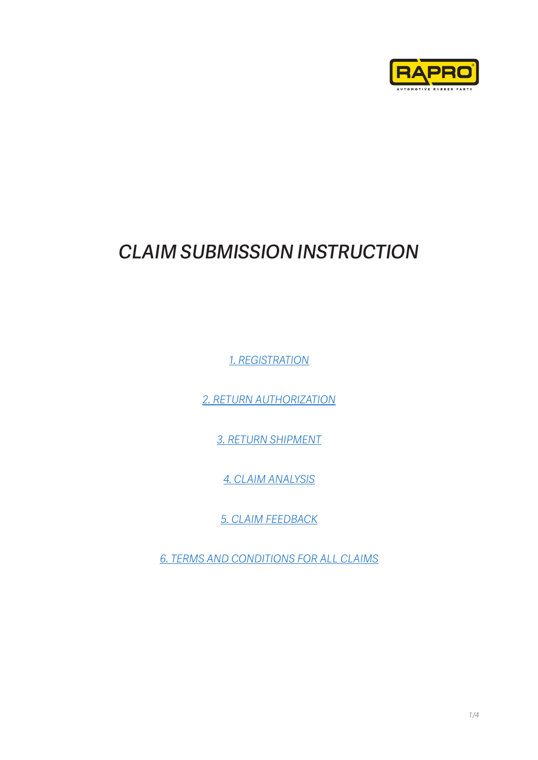

# *CLAIM SUBMISSION INSTRUCTION*

*[1. REGISTRATION](#page-1-0)*

*[2. RETURN AUTHORIZATION](#page-1-0)*

*[3. RETURN SHIPMENT](#page-2-0)*

*[4. CLAIM ANALYSIS](#page-2-0)*

*[5. CLAIM FEEDBACK](#page-2-0)*

*[6. TERMS AND CONDITIONS FOR ALL CLAIMS](#page-2-0)*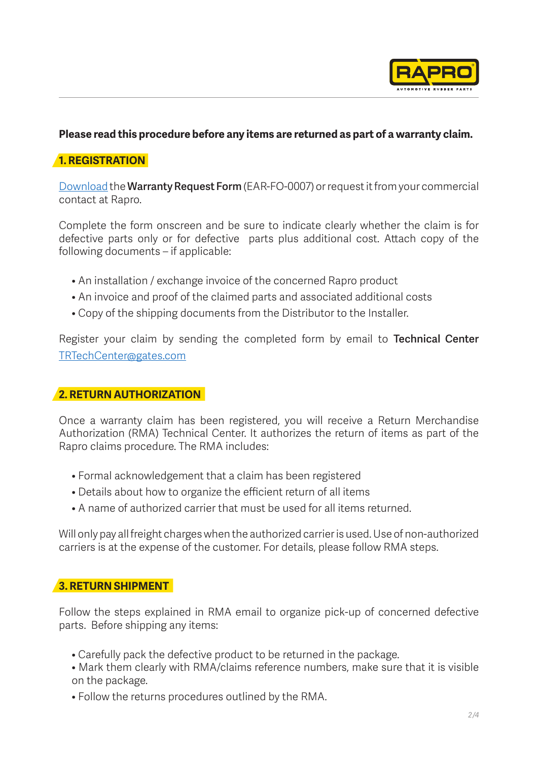

#### <span id="page-1-0"></span>**Please read this procedure before any items are returned as part of a warranty claim.**

## **1. REGISTRATION**

[Download](https://www.rapro.com.tr/upload/documents/warranty/60d169f3ab92f504901244.xlsx) the **Warranty Request Form** (EAR-FO-0007) or request it from your commercial contact at Rapro.

Complete the form onscreen and be sure to indicate clearly whether the claim is for defective parts only or for defective parts plus additional cost. Attach copy of the following documents – if applicable:

- An installation / exchange invoice of the concerned Rapro product
- An invoice and proof of the claimed parts and associated additional costs
- Copy of the shipping documents from the Distributor to the Installer.

Register your claim by sending the completed form by email to **Technical Center** TRTechCenter@gates.com

#### **2. RETURN AUTHORIZATION**

Once a warranty claim has been registered, you will receive a Return Merchandise Authorization (RMA) Technical Center. It authorizes the return of items as part of the Rapro claims procedure. The RMA includes:

- Formal acknowledgement that a claim has been registered
- Details about how to organize the efficient return of all items
- A name of authorized carrier that must be used for all items returned.

Will only pay all freight charges when the authorized carrier is used. Use of non-authorized carriers is at the expense of the customer. For details, please follow RMA steps.

#### **3. RETURN SHIPMENT**

Follow the steps explained in RMA email to organize pick-up of concerned defective parts. Before shipping any items:

- Carefully pack the defective product to be returned in the package.
- Mark them clearly with RMA/claims reference numbers, make sure that it is visible on the package.
- Follow the returns procedures outlined by the RMA.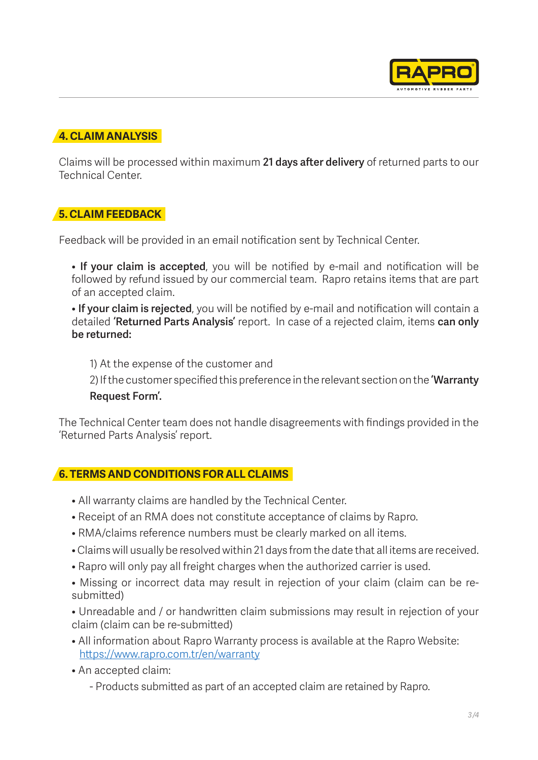

# <span id="page-2-0"></span>**4. CLAIM ANALYSIS**

Claims will be processed within maximum **21 days after delivery** of returned parts to our Technical Center.

## **5. CLAIM FEEDBACK**

Feedback will be provided in an email notification sent by Technical Center.

• **If your claim is accepted**, you will be notified by e-mail and notification will be followed by refund issued by our commercial team. Rapro retains items that are part of an accepted claim.

• **If your claim is rejected**, you will be notified by e-mail and notification will contain a detailed **'Returned Parts Analysis'** report. In case of a rejected claim, items **can only be returned:**

1) At the expense of the customer and

2) If the customer specified this preference in the relevant section on the **'Warranty Request Form'.**

The Technical Center team does not handle disagreements with findings provided in the 'Returned Parts Analysis' report.

#### **6. TERMS AND CONDITIONS FOR ALL CLAIMS**

- All warranty claims are handled by the Technical Center.
- Receipt of an RMA does not constitute acceptance of claims by Rapro.
- RMA/claims reference numbers must be clearly marked on all items.
- Claims will usually be resolved within 21 days from the date that all items are received.
- Rapro will only pay all freight charges when the authorized carrier is used.
- Missing or incorrect data may result in rejection of your claim (claim can be resubmitted)
- Unreadable and / or handwritten claim submissions may result in rejection of your claim (claim can be re-submitted)
- All information about Rapro Warranty process is available at the Rapro Website: https://www.rapro.com.tr/en/warranty
- An accepted claim:
	- Products submitted as part of an accepted claim are retained by Rapro.